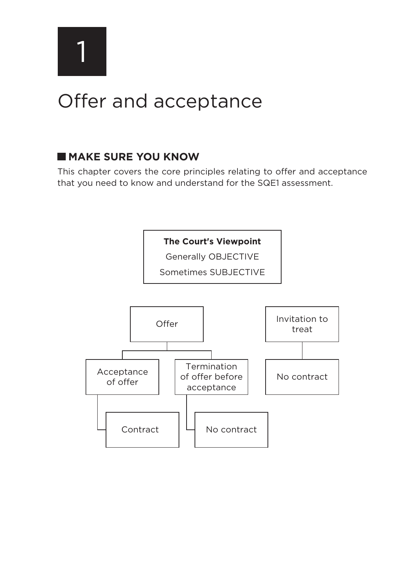1

# Offer and acceptance

# **MAKE SURE YOU KNOW**

This chapter covers the core principles relating to offer and acceptance that you need to know and understand for the SQE1 assessment.

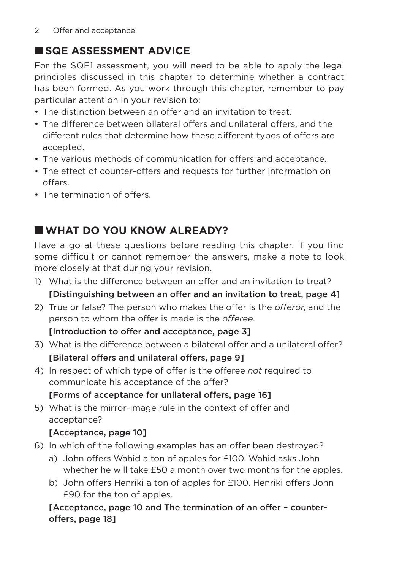# **SQE ASSESSMENT ADVICE**

For the SQE1 assessment, you will need to be able to apply the legal principles discussed in this chapter to determine whether a contract has been formed. As you work through this chapter, remember to pay particular attention in your revision to:

- The distinction between an offer and an invitation to treat.
- The difference between bilateral offers and unilateral offers, and the different rules that determine how these different types of offers are accepted.
- The various methods of communication for offers and acceptance.
- The effect of counter-offers and requests for further information on offers.
- The termination of offers

# **WHAT DO YOU KNOW ALREADY?**

Have a go at these questions before reading this chapter. If you find some difficult or cannot remember the answers, make a note to look more closely at that during your revision.

- 1) What is the difference between an offer and an invitation to treat? [Distinguishing between an offer and an invitation to treat, page 4]
- 2) True or false? The person who makes the offer is the *offeror*, and the person to whom the offer is made is the *offeree*.

#### [Introduction to offer and acceptance, page 3]

- 3) What is the difference between a bilateral offer and a unilateral offer? [Bilateral offers and unilateral offers, page 9]
- 4) In respect of which type of offer is the offeree *not* required to communicate his acceptance of the offer?

### [Forms of acceptance for unilateral offers, page 16]

5) What is the mirror-image rule in the context of offer and acceptance?

# [Acceptance, page 10]

- 6) In which of the following examples has an offer been destroyed?
	- a) John offers Wahid a ton of apples for £100. Wahid asks John whether he will take £50 a month over two months for the apples.
	- b) John offers Henriki a ton of apples for £100. Henriki offers John £90 for the ton of apples.

### [Acceptance, page 10 and The termination of an offer – counteroffers, page 18]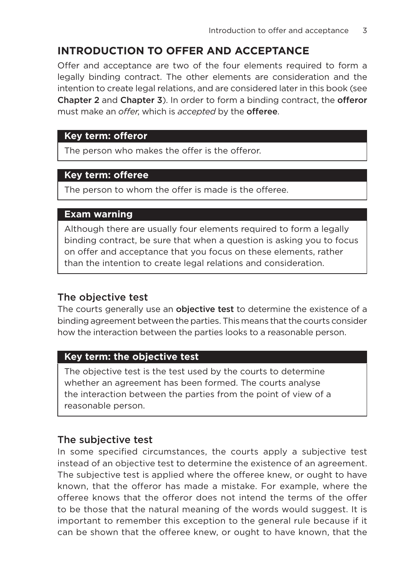# **INTRODUCTION TO OFFER AND ACCEPTANCE**

Offer and acceptance are two of the four elements required to form a legally binding contract. The other elements are consideration and the intention to create legal relations, and are considered later in this book (see Chapter 2 and Chapter 3). In order to form a binding contract, the offeror must make an *offer*, which is *accepted* by the offeree.

#### **Key term: offeror**

The person who makes the offer is the offeror.

### **Key term: offeree**

The person to whom the offer is made is the offeree.

#### **Exam warning**

Although there are usually four elements required to form a legally binding contract, be sure that when a question is asking you to focus on offer and acceptance that you focus on these elements, rather than the intention to create legal relations and consideration.

### The objective test

The courts generally use an **objective test** to determine the existence of a binding agreement between the parties. This means that the courts consider how the interaction between the parties looks to a reasonable person.

#### **Key term: the objective test**

The objective test is the test used by the courts to determine whether an agreement has been formed. The courts analyse the interaction between the parties from the point of view of a reasonable person.

#### The subjective test

In some specified circumstances, the courts apply a subjective test instead of an objective test to determine the existence of an agreement. The subjective test is applied where the offeree knew, or ought to have known, that the offeror has made a mistake. For example, where the offeree knows that the offeror does not intend the terms of the offer to be those that the natural meaning of the words would suggest. It is important to remember this exception to the general rule because if it can be shown that the offeree knew, or ought to have known, that the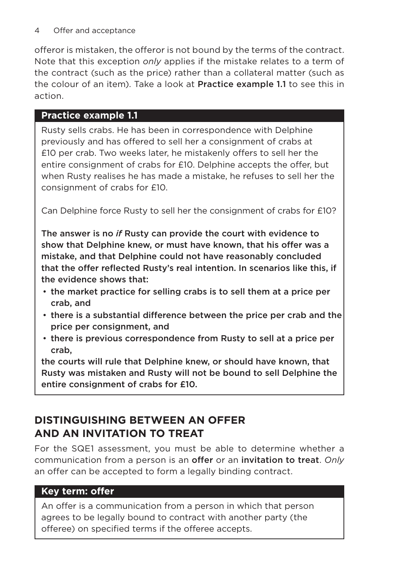offeror is mistaken, the offeror is not bound by the terms of the contract. Note that this exception *only* applies if the mistake relates to a term of the contract (such as the price) rather than a collateral matter (such as the colour of an item). Take a look at Practice example 1.1 to see this in action.

# **Practice example 1.1**

Rusty sells crabs. He has been in correspondence with Delphine previously and has offered to sell her a consignment of crabs at £10 per crab. Two weeks later, he mistakenly offers to sell her the entire consignment of crabs for £10. Delphine accepts the offer, but when Rusty realises he has made a mistake, he refuses to sell her the consignment of crabs for £10.

Can Delphine force Rusty to sell her the consignment of crabs for £10?

The answer is no *if* Rusty can provide the court with evidence to show that Delphine knew, or must have known, that his offer was a mistake, and that Delphine could not have reasonably concluded that the offer reflected Rusty's real intention. In scenarios like this, if the evidence shows that:

- the market practice for selling crabs is to sell them at a price per crab, and
- there is a substantial difference between the price per crab and the price per consignment, and
- there is previous correspondence from Rusty to sell at a price per crab,

the courts will rule that Delphine knew, or should have known, that Rusty was mistaken and Rusty will not be bound to sell Delphine the entire consignment of crabs for £10.

# **DISTINGUISHING BETWEEN AN OFFER AND AN INVITATION TO TREAT**

For the SQE1 assessment, you must be able to determine whether a communication from a person is an offer or an invitation to treat. *Only* an offer can be accepted to form a legally binding contract.

# **Key term: offer**

An offer is a communication from a person in which that person agrees to be legally bound to contract with another party (the offeree) on specified terms if the offeree accepts.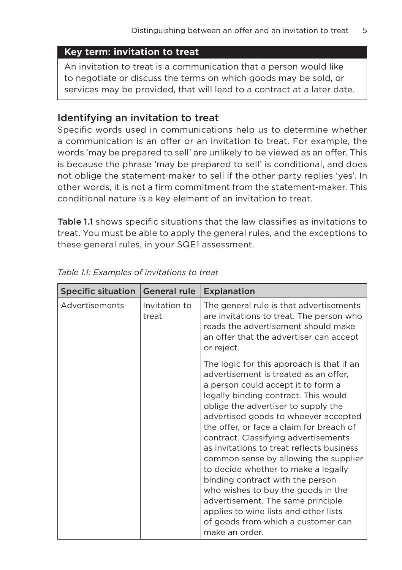#### **Key term: invitation to treat**

An invitation to treat is a communication that a person would like to negotiate or discuss the terms on which goods may be sold, or services may be provided, that will lead to a contract at a later date.

#### Identifying an invitation to treat

Specific words used in communications help us to determine whether a communication is an offer or an invitation to treat. For example, the words 'may be prepared to sell' are unlikely to be viewed as an offer. This is because the phrase 'may be prepared to sell' is conditional, and does not oblige the statement-maker to sell if the other party replies 'yes'. In other words, it is not a firm commitment from the statement-maker. This conditional nature is a key element of an invitation to treat.

Table 1.1 shows specific situations that the law classifies as invitations to treat. You must be able to apply the general rules, and the exceptions to these general rules, in your SQE1 assessment.

| <b>Specific situation</b> | <b>General rule</b>    | <b>Explanation</b>                                                                                                                                                                                                                                                                                                                                                                                                                                                                                                                                                                                                                                                               |
|---------------------------|------------------------|----------------------------------------------------------------------------------------------------------------------------------------------------------------------------------------------------------------------------------------------------------------------------------------------------------------------------------------------------------------------------------------------------------------------------------------------------------------------------------------------------------------------------------------------------------------------------------------------------------------------------------------------------------------------------------|
| Advertisements            | Invitation to<br>treat | The general rule is that advertisements<br>are invitations to treat. The person who<br>reads the advertisement should make<br>an offer that the advertiser can accept<br>or reject.                                                                                                                                                                                                                                                                                                                                                                                                                                                                                              |
|                           |                        | The logic for this approach is that if an<br>advertisement is treated as an offer,<br>a person could accept it to form a<br>legally binding contract. This would<br>oblige the advertiser to supply the<br>advertised goods to whoever accepted<br>the offer, or face a claim for breach of<br>contract. Classifying advertisements<br>as invitations to treat reflects business<br>common sense by allowing the supplier<br>to decide whether to make a legally<br>binding contract with the person<br>who wishes to buy the goods in the<br>advertisement. The same principle<br>applies to wine lists and other lists<br>of goods from which a customer can<br>make an order. |

*Table 1.1: Examples of invitations to treat*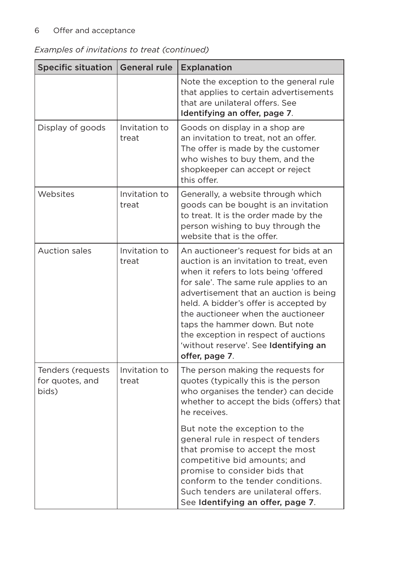#### 6 Offer and acceptance

| Examples of invitations to treat (continued) |  |  |  |  |
|----------------------------------------------|--|--|--|--|
|----------------------------------------------|--|--|--|--|

| <b>Specific situation</b>                     | <b>General rule</b>    | Explanation                                                                                                                                                                                                                                                                                                                                                                                                                        |
|-----------------------------------------------|------------------------|------------------------------------------------------------------------------------------------------------------------------------------------------------------------------------------------------------------------------------------------------------------------------------------------------------------------------------------------------------------------------------------------------------------------------------|
|                                               |                        | Note the exception to the general rule<br>that applies to certain advertisements<br>that are unilateral offers. See<br>Identifying an offer, page 7.                                                                                                                                                                                                                                                                               |
| Display of goods                              | Invitation to<br>treat | Goods on display in a shop are<br>an invitation to treat, not an offer.<br>The offer is made by the customer<br>who wishes to buy them, and the<br>shopkeeper can accept or reject<br>this offer.                                                                                                                                                                                                                                  |
| Websites                                      | Invitation to<br>treat | Generally, a website through which<br>goods can be bought is an invitation<br>to treat. It is the order made by the<br>person wishing to buy through the<br>website that is the offer.                                                                                                                                                                                                                                             |
| <b>Auction sales</b>                          | Invitation to<br>treat | An auctioneer's request for bids at an<br>auction is an invitation to treat, even<br>when it refers to lots being 'offered<br>for sale'. The same rule applies to an<br>advertisement that an auction is being<br>held. A bidder's offer is accepted by<br>the auctioneer when the auctioneer<br>taps the hammer down. But note<br>the exception in respect of auctions<br>'without reserve'. See Identifying an<br>offer, page 7. |
| Tenders (requests<br>for quotes, and<br>bids) | Invitation to<br>treat | The person making the requests for<br>quotes (typically this is the person<br>who organises the tender) can decide<br>whether to accept the bids (offers) that<br>he receives.<br>But note the exception to the                                                                                                                                                                                                                    |
|                                               |                        | general rule in respect of tenders<br>that promise to accept the most<br>competitive bid amounts; and<br>promise to consider bids that<br>conform to the tender conditions.<br>Such tenders are unilateral offers.<br>See Identifying an offer, page 7.                                                                                                                                                                            |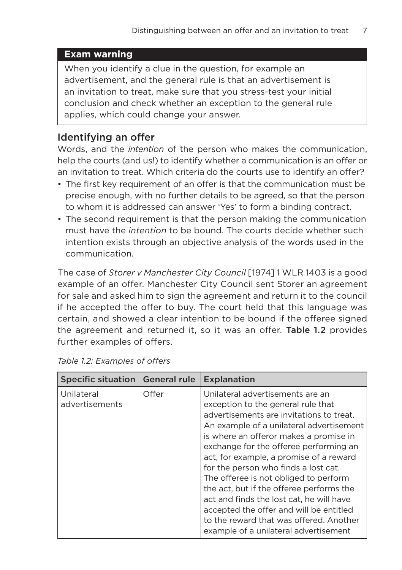#### **Exam warning**

When you identify a clue in the question, for example an advertisement, and the general rule is that an advertisement is an invitation to treat, make sure that you stress-test your initial conclusion and check whether an exception to the general rule applies, which could change your answer.

#### Identifying an offer

Words, and the *intention* of the person who makes the communication, help the courts (and us!) to identify whether a communication is an offer or an invitation to treat. Which criteria do the courts use to identify an offer?

- The first key requirement of an offer is that the communication must be precise enough, with no further details to be agreed, so that the person to whom it is addressed can answer 'Yes' to form a binding contract.
- The second requirement is that the person making the communication must have the *intention* to be bound. The courts decide whether such intention exists through an objective analysis of the words used in the communication.

The case of *Storer v Manchester City Council* [1974] 1 WLR 1403 is a good example of an offer. Manchester City Council sent Storer an agreement for sale and asked him to sign the agreement and return it to the council if he accepted the offer to buy. The court held that this language was certain, and showed a clear intention to be bound if the offeree signed the agreement and returned it, so it was an offer. Table 1.2 provides further examples of offers.

| <b>Specific situation</b>    | <b>General rule</b> | Explanation                                                                                                                                                                                                                                                                                                                                                                                                                                                                                                                                                                                           |
|------------------------------|---------------------|-------------------------------------------------------------------------------------------------------------------------------------------------------------------------------------------------------------------------------------------------------------------------------------------------------------------------------------------------------------------------------------------------------------------------------------------------------------------------------------------------------------------------------------------------------------------------------------------------------|
| Unilateral<br>advertisements | Offer               | Unilateral advertisements are an<br>exception to the general rule that<br>advertisements are invitations to treat.<br>An example of a unilateral advertisement<br>is where an offeror makes a promise in<br>exchange for the offeree performing an<br>act, for example, a promise of a reward<br>for the person who finds a lost cat.<br>The offeree is not obliged to perform<br>the act, but if the offeree performs the<br>act and finds the lost cat, he will have<br>accepted the offer and will be entitled<br>to the reward that was offered. Another<br>example of a unilateral advertisement |

|  |  | Table 1.2: Examples of offers |  |  |
|--|--|-------------------------------|--|--|
|--|--|-------------------------------|--|--|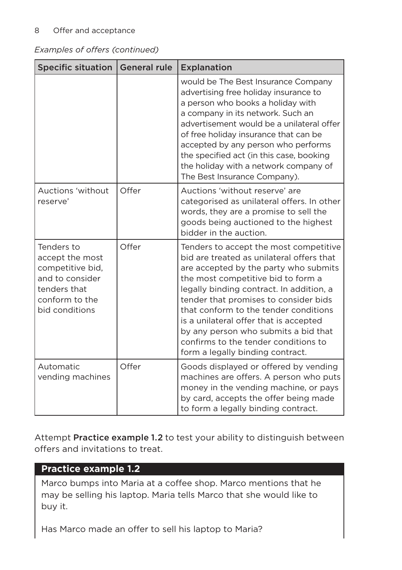#### 8 Offer and acceptance

*Examples of offers (continued)*

| <b>Specific situation</b>                                                                                                | <b>General rule</b> | Explanation                                                                                                                                                                                                                                                                                                                                                                                                                                                    |
|--------------------------------------------------------------------------------------------------------------------------|---------------------|----------------------------------------------------------------------------------------------------------------------------------------------------------------------------------------------------------------------------------------------------------------------------------------------------------------------------------------------------------------------------------------------------------------------------------------------------------------|
|                                                                                                                          |                     | would be The Best Insurance Company<br>advertising free holiday insurance to<br>a person who books a holiday with<br>a company in its network. Such an<br>advertisement would be a unilateral offer<br>of free holiday insurance that can be<br>accepted by any person who performs<br>the specified act (in this case, booking<br>the holiday with a network company of<br>The Best Insurance Company).                                                       |
| Auctions 'without<br>reserve'                                                                                            | Offer               | Auctions 'without reserve' are<br>categorised as unilateral offers. In other<br>words, they are a promise to sell the<br>goods being auctioned to the highest<br>bidder in the auction.                                                                                                                                                                                                                                                                        |
| Tenders to<br>accept the most<br>competitive bid,<br>and to consider<br>tenders that<br>conform to the<br>bid conditions | Offer               | Tenders to accept the most competitive<br>bid are treated as unilateral offers that<br>are accepted by the party who submits<br>the most competitive bid to form a<br>legally binding contract. In addition, a<br>tender that promises to consider bids<br>that conform to the tender conditions<br>is a unilateral offer that is accepted<br>by any person who submits a bid that<br>confirms to the tender conditions to<br>form a legally binding contract. |
| Automatic<br>vending machines                                                                                            | Offer               | Goods displayed or offered by vending<br>machines are offers. A person who puts<br>money in the vending machine, or pays<br>by card, accepts the offer being made<br>to form a legally binding contract.                                                                                                                                                                                                                                                       |

Attempt Practice example 1.2 to test your ability to distinguish between offers and invitations to treat.

#### **Practice example 1.2**

Marco bumps into Maria at a coffee shop. Marco mentions that he may be selling his laptop. Maria tells Marco that she would like to buy it.

Has Marco made an offer to sell his laptop to Maria?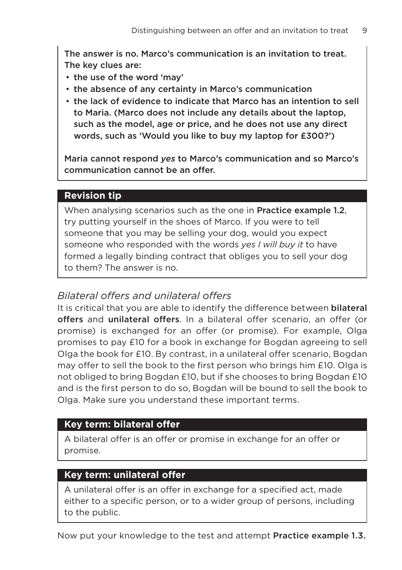The answer is no. Marco's communication is an invitation to treat. The key clues are:

- the use of the word 'may'
- the absence of any certainty in Marco's communication
- the lack of evidence to indicate that Marco has an intention to sell to Maria. (Marco does not include any details about the laptop, such as the model, age or price, and he does not use any direct words, such as 'Would you like to buy my laptop for £300?')

Maria cannot respond *yes* to Marco's communication and so Marco's communication cannot be an offer.

#### **Revision tip**

When analysing scenarios such as the one in **Practice example 1.2**, try putting yourself in the shoes of Marco. If you were to tell someone that you may be selling your dog, would you expect someone who responded with the words *yes I will buy it* to have formed a legally binding contract that obliges you to sell your dog to them? The answer is no.

#### *Bilateral offers and unilateral offers*

It is critical that you are able to identify the difference between bilateral offers and unilateral offers. In a bilateral offer scenario, an offer (or promise) is exchanged for an offer (or promise). For example, Olga promises to pay £10 for a book in exchange for Bogdan agreeing to sell Olga the book for £10. By contrast, in a unilateral offer scenario, Bogdan may offer to sell the book to the first person who brings him £10. Olga is not obliged to bring Bogdan £10, but if she chooses to bring Bogdan £10 and is the first person to do so, Bogdan will be bound to sell the book to Olga. Make sure you understand these important terms.

#### **Key term: bilateral offer**

A bilateral offer is an offer or promise in exchange for an offer or promise.

#### **Key term: unilateral offer**

A unilateral offer is an offer in exchange for a specified act, made either to a specific person, or to a wider group of persons, including to the public.

Now put your knowledge to the test and attempt Practice example 1.3.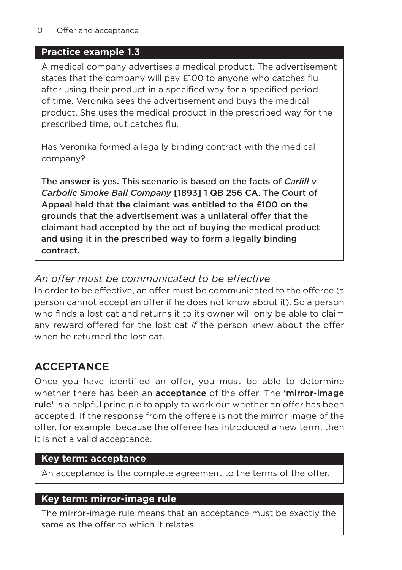# **Practice example 1.3**

A medical company advertises a medical product. The advertisement states that the company will pay £100 to anyone who catches flu after using their product in a specified way for a specified period of time. Veronika sees the advertisement and buys the medical product. She uses the medical product in the prescribed way for the prescribed time, but catches flu.

Has Veronika formed a legally binding contract with the medical company?

The answer is yes. This scenario is based on the facts of *Carlill v Carbolic Smoke Ball Company* [1893] 1 QB 256 CA. The Court of Appeal held that the claimant was entitled to the £100 on the grounds that the advertisement was a unilateral offer that the claimant had accepted by the act of buying the medical product and using it in the prescribed way to form a legally binding contract.

# *An offer must be communicated to be effective*

In order to be effective, an offer must be communicated to the offeree (a person cannot accept an offer if he does not know about it). So a person who finds a lost cat and returns it to its owner will only be able to claim any reward offered for the lost cat *if* the person knew about the offer when he returned the lost cat.

# **ACCEPTANCE**

Once you have identified an offer, you must be able to determine whether there has been an acceptance of the offer. The 'mirror-image rule' is a helpful principle to apply to work out whether an offer has been accepted. If the response from the offeree is not the mirror image of the offer, for example, because the offeree has introduced a new term, then it is not a valid acceptance.

# **Key term: acceptance**

An acceptance is the complete agreement to the terms of the offer.

# **Key term: mirror-image rule**

The mirror-image rule means that an acceptance must be exactly the same as the offer to which it relates.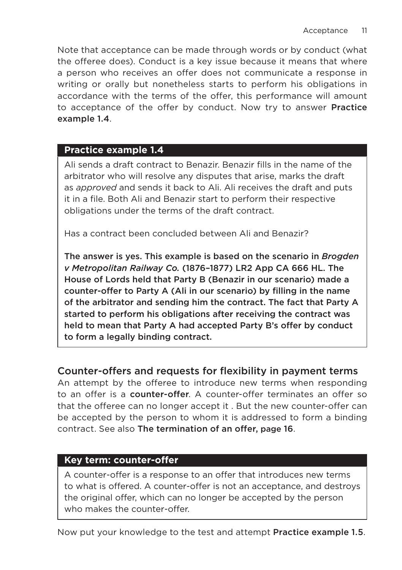Note that acceptance can be made through words or by conduct (what the offeree does). Conduct is a key issue because it means that where a person who receives an offer does not communicate a response in writing or orally but nonetheless starts to perform his obligations in accordance with the terms of the offer, this performance will amount to acceptance of the offer by conduct. Now try to answer Practice example 1.4.

#### **Practice example 1.4**

Ali sends a draft contract to Benazir. Benazir fills in the name of the arbitrator who will resolve any disputes that arise, marks the draft as *approved* and sends it back to Ali. Ali receives the draft and puts it in a file. Both Ali and Benazir start to perform their respective obligations under the terms of the draft contract.

Has a contract been concluded between Ali and Benazir?

The answer is yes. This example is based on the scenario in *Brogden v Metropolitan Railway Co.* (1876–1877) LR2 App CA 666 HL. The House of Lords held that Party B (Benazir in our scenario) made a counter-offer to Party A (Ali in our scenario) by filling in the name of the arbitrator and sending him the contract. The fact that Party A started to perform his obligations after receiving the contract was held to mean that Party A had accepted Party B's offer by conduct to form a legally binding contract.

### Counter-offers and requests for flexibility in payment terms

An attempt by the offeree to introduce new terms when responding to an offer is a counter-offer. A counter-offer terminates an offer so that the offeree can no longer accept it . But the new counter-offer can be accepted by the person to whom it is addressed to form a binding contract. See also The termination of an offer, page 16.

#### **Key term: counter-offer**

A counter-offer is a response to an offer that introduces new terms to what is offered. A counter-offer is not an acceptance, and destroys the original offer, which can no longer be accepted by the person who makes the counter-offer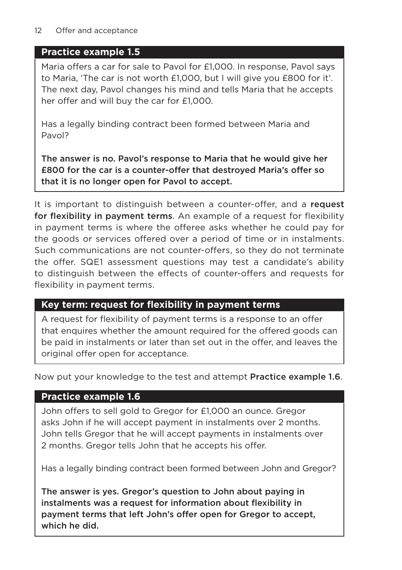#### 12 Offer and acceptance

#### **Practice example 1.5**

Maria offers a car for sale to Pavol for £1,000. In response, Pavol says to Maria, 'The car is not worth £1,000, but I will give you £800 for it'. The next day, Pavol changes his mind and tells Maria that he accepts her offer and will buy the car for £1,000.

Has a legally binding contract been formed between Maria and Pavol?

The answer is no. Pavol's response to Maria that he would give her £800 for the car is a counter-offer that destroyed Maria's offer so that it is no longer open for Pavol to accept.

It is important to distinguish between a counter-offer, and a request for flexibility in payment terms. An example of a request for flexibility in payment terms is where the offeree asks whether he could pay for the goods or services offered over a period of time or in instalments. Such communications are not counter-offers, so they do not terminate the offer. SQE1 assessment questions may test a candidate's ability to distinguish between the effects of counter-offers and requests for flexibility in payment terms.

# **Key term: request for flexibility in payment terms**

A request for flexibility of payment terms is a response to an offer that enquires whether the amount required for the offered goods can be paid in instalments or later than set out in the offer, and leaves the original offer open for acceptance.

Now put your knowledge to the test and attempt Practice example 1.6.

### **Practice example 1.6**

John offers to sell gold to Gregor for £1,000 an ounce. Gregor asks John if he will accept payment in instalments over 2 months. John tells Gregor that he will accept payments in instalments over 2 months. Gregor tells John that he accepts his offer.

Has a legally binding contract been formed between John and Gregor?

The answer is yes. Gregor's question to John about paying in instalments was a request for information about flexibility in payment terms that left John's offer open for Gregor to accept, which he did.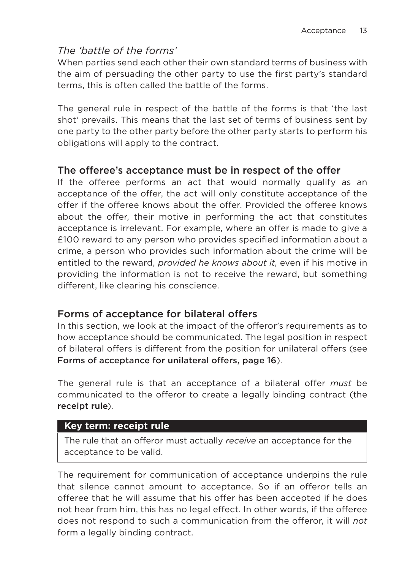### *The 'battle of the forms'*

When parties send each other their own standard terms of business with the aim of persuading the other party to use the first party's standard terms, this is often called the battle of the forms.

The general rule in respect of the battle of the forms is that 'the last shot' prevails. This means that the last set of terms of business sent by one party to the other party before the other party starts to perform his obligations will apply to the contract.

# The offeree's acceptance must be in respect of the offer

If the offeree performs an act that would normally qualify as an acceptance of the offer, the act will only constitute acceptance of the offer if the offeree knows about the offer. Provided the offeree knows about the offer, their motive in performing the act that constitutes acceptance is irrelevant. For example, where an offer is made to give a £100 reward to any person who provides specified information about a crime, a person who provides such information about the crime will be entitled to the reward, *provided he knows about it*, even if his motive in providing the information is not to receive the reward, but something different, like clearing his conscience.

### Forms of acceptance for bilateral offers

In this section, we look at the impact of the offeror's requirements as to how acceptance should be communicated. The legal position in respect of bilateral offers is different from the position for unilateral offers (see Forms of acceptance for unilateral offers, page 16).

The general rule is that an acceptance of a bilateral offer *must* be communicated to the offeror to create a legally binding contract (the receipt rule).

#### **Key term: receipt rule**

The rule that an offeror must actually *receive* an acceptance for the acceptance to be valid.

The requirement for communication of acceptance underpins the rule that silence cannot amount to acceptance. So if an offeror tells an offeree that he will assume that his offer has been accepted if he does not hear from him, this has no legal effect. In other words, if the offeree does not respond to such a communication from the offeror, it will *not* form a legally binding contract.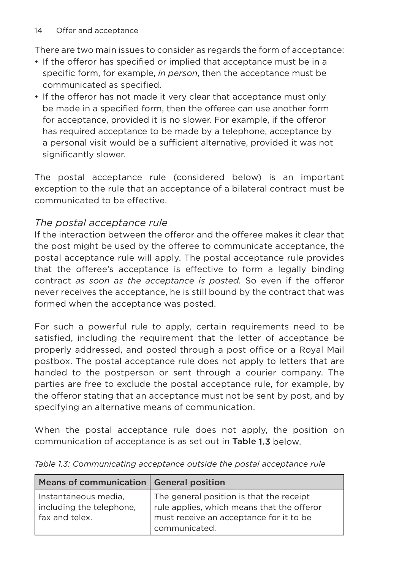There are two main issues to consider as regards the form of acceptance:

- If the offeror has specified or implied that acceptance must be in a specific form, for example, *in person*, then the acceptance must be communicated as specified.
- If the offeror has not made it very clear that acceptance must only be made in a specified form, then the offeree can use another form for acceptance, provided it is no slower. For example, if the offeror has required acceptance to be made by a telephone, acceptance by a personal visit would be a sufficient alternative, provided it was not significantly slower.

The postal acceptance rule (considered below) is an important exception to the rule that an acceptance of a bilateral contract must be communicated to be effective.

# *The postal acceptance rule*

If the interaction between the offeror and the offeree makes it clear that the post might be used by the offeree to communicate acceptance, the postal acceptance rule will apply. The postal acceptance rule provides that the offeree's acceptance is effective to form a legally binding contract *as soon as the acceptance is posted*. So even if the offeror never receives the acceptance, he is still bound by the contract that was formed when the acceptance was posted.

For such a powerful rule to apply, certain requirements need to be satisfied, including the requirement that the letter of acceptance be properly addressed, and posted through a post office or a Royal Mail postbox. The postal acceptance rule does not apply to letters that are handed to the postperson or sent through a courier company. The parties are free to exclude the postal acceptance rule, for example, by the offeror stating that an acceptance must not be sent by post, and by specifying an alternative means of communication.

When the postal acceptance rule does not apply, the position on communication of acceptance is as set out in Table 1.3 below.

| Means of communication   General position                          |                                                                                                                                                      |
|--------------------------------------------------------------------|------------------------------------------------------------------------------------------------------------------------------------------------------|
| Instantaneous media,<br>including the telephone,<br>fax and telex. | The general position is that the receipt<br>  rule applies, which means that the offeror<br>must receive an acceptance for it to be<br>communicated. |

*Table 1.3: Communicating acceptance outside the postal acceptance rule*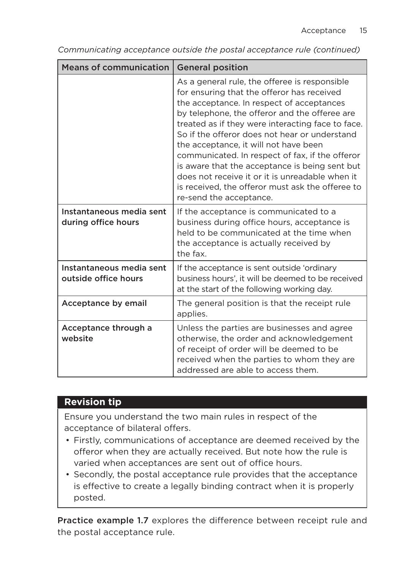| <b>Means of communication</b>                    | <b>General position</b>                                                                                                                                                                                                                                                                                                                                                                                                                                                                                                                                                         |
|--------------------------------------------------|---------------------------------------------------------------------------------------------------------------------------------------------------------------------------------------------------------------------------------------------------------------------------------------------------------------------------------------------------------------------------------------------------------------------------------------------------------------------------------------------------------------------------------------------------------------------------------|
|                                                  | As a general rule, the offeree is responsible<br>for ensuring that the offeror has received<br>the acceptance. In respect of acceptances<br>by telephone, the offeror and the offeree are<br>treated as if they were interacting face to face.<br>So if the offeror does not hear or understand<br>the acceptance, it will not have been<br>communicated. In respect of fax, if the offeror<br>is aware that the acceptance is being sent but<br>does not receive it or it is unreadable when it<br>is received, the offeror must ask the offeree to<br>re-send the acceptance. |
| Instantaneous media sent<br>during office hours  | If the acceptance is communicated to a<br>business during office hours, acceptance is<br>held to be communicated at the time when<br>the acceptance is actually received by<br>the fax.                                                                                                                                                                                                                                                                                                                                                                                         |
| Instantaneous media sent<br>outside office hours | If the acceptance is sent outside 'ordinary<br>business hours', it will be deemed to be received<br>at the start of the following working day.                                                                                                                                                                                                                                                                                                                                                                                                                                  |
| Acceptance by email                              | The general position is that the receipt rule<br>applies.                                                                                                                                                                                                                                                                                                                                                                                                                                                                                                                       |
| Acceptance through a<br>website                  | Unless the parties are businesses and agree<br>otherwise, the order and acknowledgement<br>of receipt of order will be deemed to be<br>received when the parties to whom they are<br>addressed are able to access them.                                                                                                                                                                                                                                                                                                                                                         |

*Communicating acceptance outside the postal acceptance rule (continued)*

# **Revision tip**

Ensure you understand the two main rules in respect of the acceptance of bilateral offers.

- Firstly, communications of acceptance are deemed received by the offeror when they are actually received. But note how the rule is varied when acceptances are sent out of office hours.
- Secondly, the postal acceptance rule provides that the acceptance is effective to create a legally binding contract when it is properly posted.

Practice example 1.7 explores the difference between receipt rule and the postal acceptance rule.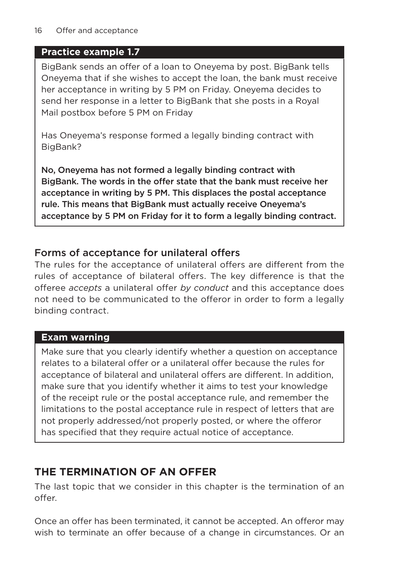# **Practice example 1.7**

BigBank sends an offer of a loan to Oneyema by post. BigBank tells Oneyema that if she wishes to accept the loan, the bank must receive her acceptance in writing by 5 PM on Friday. Oneyema decides to send her response in a letter to BigBank that she posts in a Royal Mail postbox before 5 PM on Friday

Has Oneyema's response formed a legally binding contract with BigBank?

No, Oneyema has not formed a legally binding contract with BigBank. The words in the offer state that the bank must receive her acceptance in writing by 5 PM. This displaces the postal acceptance rule. This means that BigBank must actually receive Oneyema's acceptance by 5 PM on Friday for it to form a legally binding contract.

# Forms of acceptance for unilateral offers

The rules for the acceptance of unilateral offers are different from the rules of acceptance of bilateral offers. The key difference is that the offeree *accepts* a unilateral offer *by conduct* and this acceptance does not need to be communicated to the offeror in order to form a legally binding contract.

# **Exam warning**

Make sure that you clearly identify whether a question on acceptance relates to a bilateral offer or a unilateral offer because the rules for acceptance of bilateral and unilateral offers are different. In addition, make sure that you identify whether it aims to test your knowledge of the receipt rule or the postal acceptance rule, and remember the limitations to the postal acceptance rule in respect of letters that are not properly addressed/not properly posted, or where the offeror has specified that they require actual notice of acceptance.

# **THE TERMINATION OF AN OFFER**

The last topic that we consider in this chapter is the termination of an offer.

Once an offer has been terminated, it cannot be accepted. An offeror may wish to terminate an offer because of a change in circumstances. Or an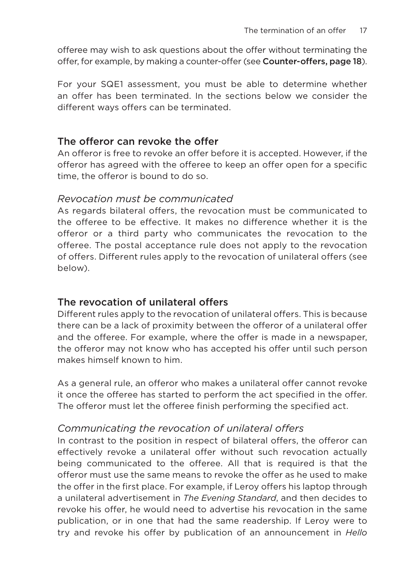offeree may wish to ask questions about the offer without terminating the offer, for example, by making a counter-offer (see Counter-offers, page 18).

For your SQE1 assessment, you must be able to determine whether an offer has been terminated. In the sections below we consider the different ways offers can be terminated.

#### The offeror can revoke the offer

An offeror is free to revoke an offer before it is accepted. However, if the offeror has agreed with the offeree to keep an offer open for a specific time, the offeror is bound to do so.

#### *Revocation must be communicated*

As regards bilateral offers, the revocation must be communicated to the offeree to be effective. It makes no difference whether it is the offeror or a third party who communicates the revocation to the offeree. The postal acceptance rule does not apply to the revocation of offers. Different rules apply to the revocation of unilateral offers (see below).

### The revocation of unilateral offers

Different rules apply to the revocation of unilateral offers. This is because there can be a lack of proximity between the offeror of a unilateral offer and the offeree. For example, where the offer is made in a newspaper, the offeror may not know who has accepted his offer until such person makes himself known to him.

As a general rule, an offeror who makes a unilateral offer cannot revoke it once the offeree has started to perform the act specified in the offer. The offeror must let the offeree finish performing the specified act.

### *Communicating the revocation of unilateral offers*

In contrast to the position in respect of bilateral offers, the offeror can effectively revoke a unilateral offer without such revocation actually being communicated to the offeree. All that is required is that the offeror must use the same means to revoke the offer as he used to make the offer in the first place. For example, if Leroy offers his laptop through a unilateral advertisement in *The Evening Standard*, and then decides to revoke his offer, he would need to advertise his revocation in the same publication, or in one that had the same readership. If Leroy were to try and revoke his offer by publication of an announcement in *Hello*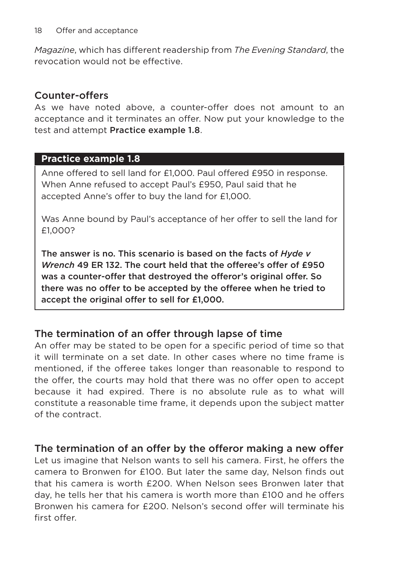*Magazine*, which has different readership from *The Evening Standard*, the revocation would not be effective.

#### Counter-offers

As we have noted above, a counter-offer does not amount to an acceptance and it terminates an offer. Now put your knowledge to the test and attempt Practice example 1.8.

#### **Practice example 1.8**

Anne offered to sell land for £1,000. Paul offered £950 in response. When Anne refused to accept Paul's £950, Paul said that he accepted Anne's offer to buy the land for £1,000.

Was Anne bound by Paul's acceptance of her offer to sell the land for £1,000?

The answer is no. This scenario is based on the facts of *Hyde v Wrench* 49 ER 132. The court held that the offeree's offer of £950 was a counter-offer that destroyed the offeror's original offer. So there was no offer to be accepted by the offeree when he tried to accept the original offer to sell for £1,000.

### The termination of an offer through lapse of time

An offer may be stated to be open for a specific period of time so that it will terminate on a set date. In other cases where no time frame is mentioned, if the offeree takes longer than reasonable to respond to the offer, the courts may hold that there was no offer open to accept because it had expired. There is no absolute rule as to what will constitute a reasonable time frame, it depends upon the subject matter of the contract.

### The termination of an offer by the offeror making a new offer

Let us imagine that Nelson wants to sell his camera. First, he offers the camera to Bronwen for £100. But later the same day, Nelson finds out that his camera is worth £200. When Nelson sees Bronwen later that day, he tells her that his camera is worth more than £100 and he offers Bronwen his camera for £200. Nelson's second offer will terminate his first offer.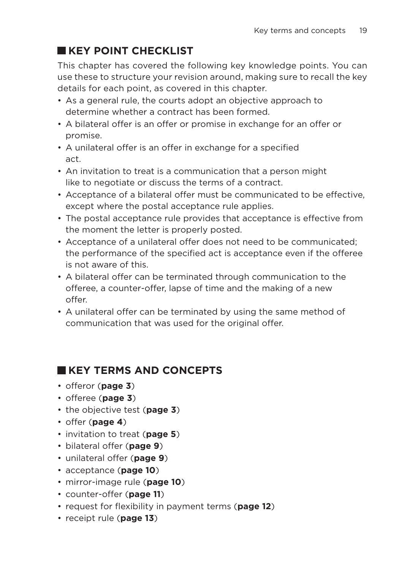# **KEY POINT CHECKLIST**

This chapter has covered the following key knowledge points. You can use these to structure your revision around, making sure to recall the key details for each point, as covered in this chapter.

- As a general rule, the courts adopt an objective approach to determine whether a contract has been formed.
- A bilateral offer is an offer or promise in exchange for an offer or promise.
- A unilateral offer is an offer in exchange for a specified act.
- An invitation to treat is a communication that a person might like to negotiate or discuss the terms of a contract.
- Acceptance of a bilateral offer must be communicated to be effective, except where the postal acceptance rule applies.
- The postal acceptance rule provides that acceptance is effective from the moment the letter is properly posted.
- Acceptance of a unilateral offer does not need to be communicated; the performance of the specified act is acceptance even if the offeree is not aware of this.
- A bilateral offer can be terminated through communication to the offeree, a counter-offer, lapse of time and the making of a new offer.
- A unilateral offer can be terminated by using the same method of communication that was used for the original offer.

# **KEY TERMS AND CONCEPTS**

- offeror (**page 3**)
- offeree (**page 3**)
- the objective test (**page 3**)
- offer (**page 4**)
- invitation to treat (**page 5**)
- bilateral offer (**page 9**)
- unilateral offer (**page 9**)
- acceptance (**page 10**)
- mirror-image rule (**page 10**)
- counter-offer (**page 11**)
- request for flexibility in payment terms (**page 12**)
- receipt rule (**page 13**)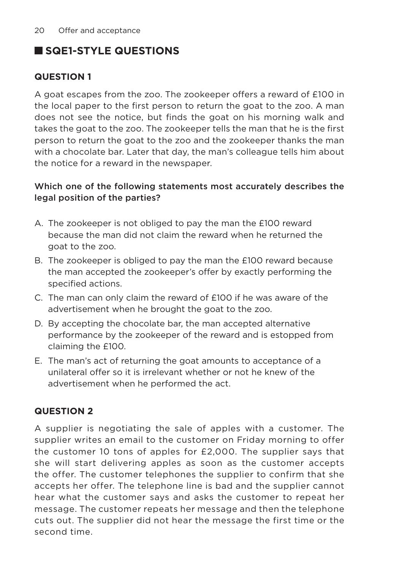# **SQE1-STYLE QUESTIONS**

#### **QUESTION 1**

A goat escapes from the zoo. The zookeeper offers a reward of £100 in the local paper to the first person to return the goat to the zoo. A man does not see the notice, but finds the goat on his morning walk and takes the goat to the zoo. The zookeeper tells the man that he is the first person to return the goat to the zoo and the zookeeper thanks the man with a chocolate bar. Later that day, the man's colleague tells him about the notice for a reward in the newspaper.

#### Which one of the following statements most accurately describes the legal position of the parties?

- A. The zookeeper is not obliged to pay the man the £100 reward because the man did not claim the reward when he returned the goat to the zoo.
- B. The zookeeper is obliged to pay the man the £100 reward because the man accepted the zookeeper's offer by exactly performing the specified actions.
- C. The man can only claim the reward of £100 if he was aware of the advertisement when he brought the goat to the zoo.
- D. By accepting the chocolate bar, the man accepted alternative performance by the zookeeper of the reward and is estopped from claiming the £100.
- E. The man's act of returning the goat amounts to acceptance of a unilateral offer so it is irrelevant whether or not he knew of the advertisement when he performed the act.

#### **QUESTION 2**

A supplier is negotiating the sale of apples with a customer. The supplier writes an email to the customer on Friday morning to offer the customer 10 tons of apples for £2,000. The supplier says that she will start delivering apples as soon as the customer accepts the offer. The customer telephones the supplier to confirm that she accepts her offer. The telephone line is bad and the supplier cannot hear what the customer says and asks the customer to repeat her message. The customer repeats her message and then the telephone cuts out. The supplier did not hear the message the first time or the second time.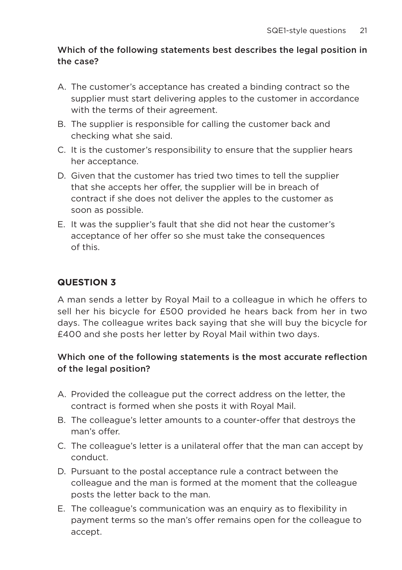#### Which of the following statements best describes the legal position in the case?

- A. The customer's acceptance has created a binding contract so the supplier must start delivering apples to the customer in accordance with the terms of their agreement.
- B. The supplier is responsible for calling the customer back and checking what she said.
- C. It is the customer's responsibility to ensure that the supplier hears her acceptance.
- D. Given that the customer has tried two times to tell the supplier that she accepts her offer, the supplier will be in breach of contract if she does not deliver the apples to the customer as soon as possible.
- E. It was the supplier's fault that she did not hear the customer's acceptance of her offer so she must take the consequences of this.

# **QUESTION 3**

A man sends a letter by Royal Mail to a colleague in which he offers to sell her his bicycle for £500 provided he hears back from her in two days. The colleague writes back saying that she will buy the bicycle for £400 and she posts her letter by Royal Mail within two days.

#### Which one of the following statements is the most accurate reflection of the legal position?

- A. Provided the colleague put the correct address on the letter, the contract is formed when she posts it with Royal Mail.
- B. The colleague's letter amounts to a counter-offer that destroys the man's offer.
- C. The colleague's letter is a unilateral offer that the man can accept by conduct.
- D. Pursuant to the postal acceptance rule a contract between the colleague and the man is formed at the moment that the colleague posts the letter back to the man.
- E. The colleague's communication was an enquiry as to flexibility in payment terms so the man's offer remains open for the colleague to accept.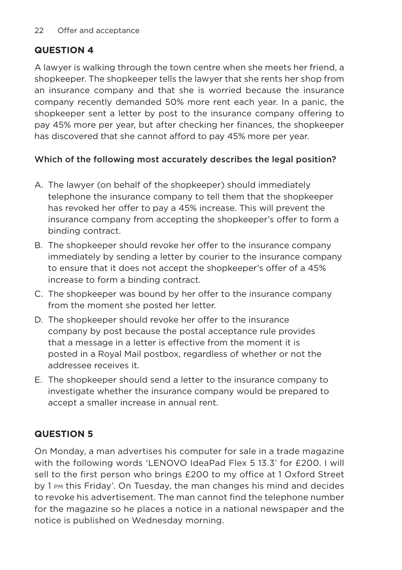### **QUESTION 4**

A lawyer is walking through the town centre when she meets her friend, a shopkeeper. The shopkeeper tells the lawyer that she rents her shop from an insurance company and that she is worried because the insurance company recently demanded 50% more rent each year. In a panic, the shopkeeper sent a letter by post to the insurance company offering to pay 45% more per year, but after checking her finances, the shopkeeper has discovered that she cannot afford to pay 45% more per year.

#### Which of the following most accurately describes the legal position?

- A. The lawyer (on behalf of the shopkeeper) should immediately telephone the insurance company to tell them that the shopkeeper has revoked her offer to pay a 45% increase. This will prevent the insurance company from accepting the shopkeeper's offer to form a binding contract.
- B. The shopkeeper should revoke her offer to the insurance company immediately by sending a letter by courier to the insurance company to ensure that it does not accept the shopkeeper's offer of a 45% increase to form a binding contract.
- C. The shopkeeper was bound by her offer to the insurance company from the moment she posted her letter.
- D. The shopkeeper should revoke her offer to the insurance company by post because the postal acceptance rule provides that a message in a letter is effective from the moment it is posted in a Royal Mail postbox, regardless of whether or not the addressee receives it.
- E. The shopkeeper should send a letter to the insurance company to investigate whether the insurance company would be prepared to accept a smaller increase in annual rent.

### **QUESTION 5**

On Monday, a man advertises his computer for sale in a trade magazine with the following words 'LENOVO IdeaPad Flex 5 13.3' for £200. I will sell to the first person who brings £200 to my office at 1 Oxford Street by 1 PM this Friday'. On Tuesday, the man changes his mind and decides to revoke his advertisement. The man cannot find the telephone number for the magazine so he places a notice in a national newspaper and the notice is published on Wednesday morning.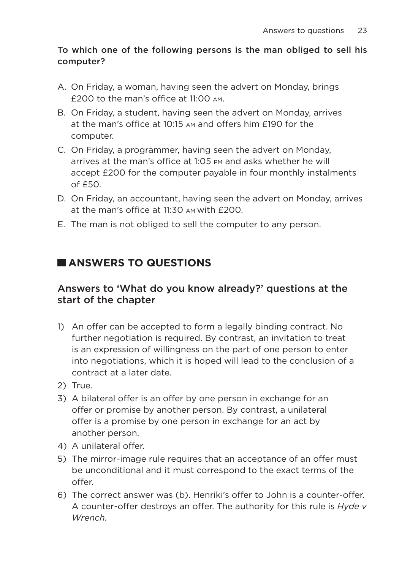#### To which one of the following persons is the man obliged to sell his computer?

- A. On Friday, a woman, having seen the advert on Monday, brings £200 to the man's office at 11:00 AM.
- B. On Friday, a student, having seen the advert on Monday, arrives at the man's office at  $10.15$   $\mu$  and offers him  $f190$  for the computer.
- C. On Friday, a programmer, having seen the advert on Monday, arrives at the man's office at 1:05 PM and asks whether he will accept £200 for the computer payable in four monthly instalments of £50.
- D. On Friday, an accountant, having seen the advert on Monday, arrives at the man's office at 11:30 AM with £200.
- E. The man is not obliged to sell the computer to any person.

# **ANSWERS TO QUESTIONS**

### Answers to 'What do you know already?' questions at the start of the chapter

- 1) An offer can be accepted to form a legally binding contract. No further negotiation is required. By contrast, an invitation to treat is an expression of willingness on the part of one person to enter into negotiations, which it is hoped will lead to the conclusion of a contract at a later date.
- 2) True.
- 3) A bilateral offer is an offer by one person in exchange for an offer or promise by another person. By contrast, a unilateral offer is a promise by one person in exchange for an act by another person.
- 4) A unilateral offer.
- 5) The mirror-image rule requires that an acceptance of an offer must be unconditional and it must correspond to the exact terms of the offer.
- 6) The correct answer was (b). Henriki's offer to John is a counter-offer. A counter-offer destroys an offer. The authority for this rule is *Hyde v Wrench*.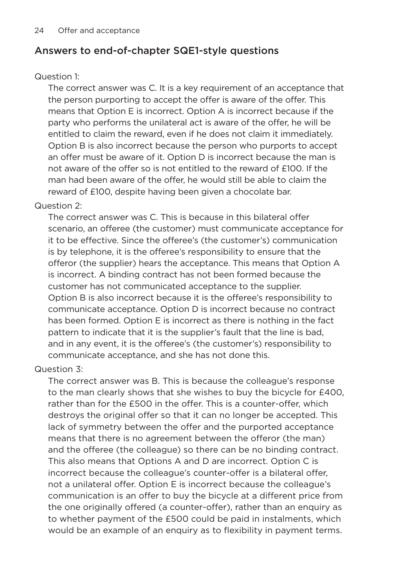# Answers to end-of-chapter SQE1-style questions

#### Question 1:

The correct answer was C. It is a key requirement of an acceptance that the person purporting to accept the offer is aware of the offer. This means that Option E is incorrect. Option A is incorrect because if the party who performs the unilateral act is aware of the offer, he will be entitled to claim the reward, even if he does not claim it immediately. Option B is also incorrect because the person who purports to accept an offer must be aware of it. Option D is incorrect because the man is not aware of the offer so is not entitled to the reward of £100. If the man had been aware of the offer, he would still be able to claim the reward of £100, despite having been given a chocolate bar.

#### Question 2:

The correct answer was C. This is because in this bilateral offer scenario, an offeree (the customer) must communicate acceptance for it to be effective. Since the offeree's (the customer's) communication is by telephone, it is the offeree's responsibility to ensure that the offeror (the supplier) hears the acceptance. This means that Option A is incorrect. A binding contract has not been formed because the customer has not communicated acceptance to the supplier. Option B is also incorrect because it is the offeree's responsibility to communicate acceptance. Option D is incorrect because no contract has been formed. Option E is incorrect as there is nothing in the fact pattern to indicate that it is the supplier's fault that the line is bad, and in any event, it is the offeree's (the customer's) responsibility to communicate acceptance, and she has not done this.

#### Question 3:

The correct answer was B. This is because the colleague's response to the man clearly shows that she wishes to buy the bicycle for £400, rather than for the £500 in the offer. This is a counter-offer, which destroys the original offer so that it can no longer be accepted. This lack of symmetry between the offer and the purported acceptance means that there is no agreement between the offeror (the man) and the offeree (the colleague) so there can be no binding contract. This also means that Options A and D are incorrect. Option C is incorrect because the colleague's counter-offer is a bilateral offer, not a unilateral offer. Option E is incorrect because the colleague's communication is an offer to buy the bicycle at a different price from the one originally offered (a counter-offer), rather than an enquiry as to whether payment of the £500 could be paid in instalments, which would be an example of an enquiry as to flexibility in payment terms.